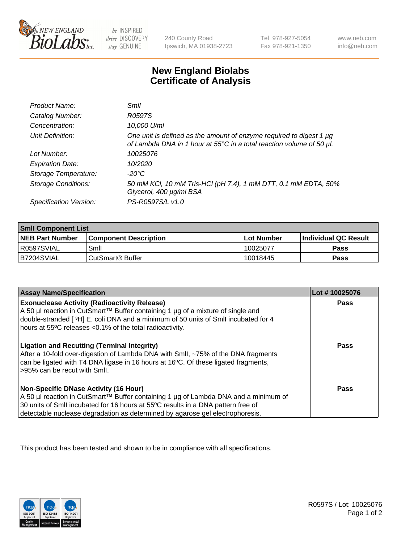

 $be$  INSPIRED drive DISCOVERY stay GENUINE

240 County Road Ipswich, MA 01938-2723 Tel 978-927-5054 Fax 978-921-1350 www.neb.com info@neb.com

## **New England Biolabs Certificate of Analysis**

| Product Name:              | Smil                                                                                                                                        |
|----------------------------|---------------------------------------------------------------------------------------------------------------------------------------------|
| Catalog Number:            | R0597S                                                                                                                                      |
| Concentration:             | 10,000 U/ml                                                                                                                                 |
| Unit Definition:           | One unit is defined as the amount of enzyme required to digest 1 µg<br>of Lambda DNA in 1 hour at 55°C in a total reaction volume of 50 µl. |
| Lot Number:                | 10025076                                                                                                                                    |
| <b>Expiration Date:</b>    | 10/2020                                                                                                                                     |
| Storage Temperature:       | -20°C                                                                                                                                       |
| <b>Storage Conditions:</b> | 50 mM KCl, 10 mM Tris-HCl (pH 7.4), 1 mM DTT, 0.1 mM EDTA, 50%<br>Glycerol, 400 µg/ml BSA                                                   |
| Specification Version:     | PS-R0597S/L v1.0                                                                                                                            |

| <b>Smil Component List</b> |                              |              |                             |  |
|----------------------------|------------------------------|--------------|-----------------------------|--|
| <b>NEB Part Number</b>     | <b>Component Description</b> | l Lot Number | <b>Individual QC Result</b> |  |
| I R0597SVIAL               | Smil                         | 10025077     | Pass                        |  |
| B7204SVIAL                 | l CutSmart® Buffer           | 10018445     | Pass                        |  |

| <b>Assay Name/Specification</b>                                                                                                                                                                                                                                                                          | Lot #10025076 |
|----------------------------------------------------------------------------------------------------------------------------------------------------------------------------------------------------------------------------------------------------------------------------------------------------------|---------------|
| <b>Exonuclease Activity (Radioactivity Release)</b><br>A 50 µl reaction in CutSmart™ Buffer containing 1 µg of a mixture of single and<br>double-stranded [3H] E. coli DNA and a minimum of 50 units of Smll incubated for 4<br>hours at 55°C releases <0.1% of the total radioactivity.                 | Pass          |
| <b>Ligation and Recutting (Terminal Integrity)</b><br>After a 10-fold over-digestion of Lambda DNA with Smll, ~75% of the DNA fragments<br>can be ligated with T4 DNA ligase in 16 hours at 16 <sup>o</sup> C. Of these ligated fragments,<br>-95% can be recut with Smll.                               | Pass          |
| <b>Non-Specific DNase Activity (16 Hour)</b><br>A 50 µl reaction in CutSmart™ Buffer containing 1 µg of Lambda DNA and a minimum of<br>30 units of SmII incubated for 16 hours at 55°C results in a DNA pattern free of<br>detectable nuclease degradation as determined by agarose gel electrophoresis. | Pass          |

This product has been tested and shown to be in compliance with all specifications.